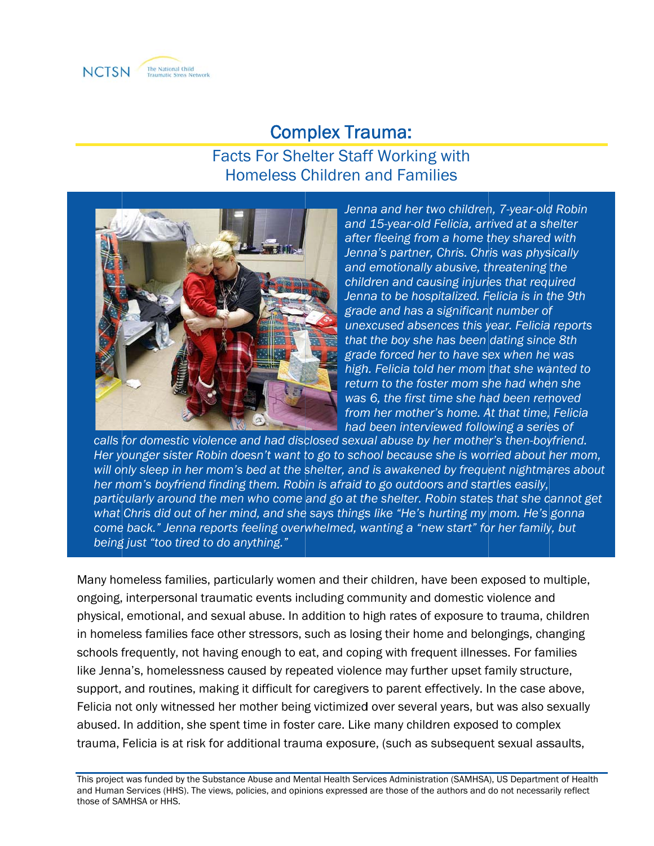

# **Complex Trauma:**

## **Facts For Shelter Staff Working with Homeless Children and Families**



Jenna and her two children, 7-year-old Robin and 15-year-old Felicia, arrived at a shelter after fleeing from a home they shared with Jenna's partner, Chris. Chris was physically and emotionally abusive, threatening the children and causing injuries that required Jenna to be hospitalized. Felicia is in the 9th grade and has a significant number of unexcused absences this year. Felicia reports that the boy she has been dating since 8th grade forced her to have sex when he was high. Felicia told her mom that she wanted to return to the foster mom she had when she was 6, the first time she had been removed from her mother's home. At that time, Felicia had been interviewed following a series of

calls for domestic violence and had disclosed sexual abuse by her mother's then-boyfriend. Her younger sister Robin doesn't want to go to school because she is worried about her mom, will only sleep in her mom's bed at the shelter, and is awakened by frequent nightmares about her mom's boyfriend finding them. Robin is afraid to go outdoors and startles easily, particularly around the men who come and go at the shelter. Robin states that she cannot get what Chris did out of her mind, and she says things like "He's hurting my mom. He's gonna come back." Jenna reports feeling overwhelmed, wanting a "new start" for her family, but being just "too tired to do anything."

Many homeless families, particularly women and their children, have been exposed to multiple, ongoing, interpersonal traumatic events including community and domestic violence and physical, emotional, and sexual abuse. In addition to high rates of exposure to trauma, children in homeless families face other stressors, such as losing their home and belongings, changing schools frequently, not having enough to eat, and coping with frequent illnesses. For families like Jenna's, homelessness caused by repeated violence may further upset family structure, support, and routines, making it difficult for caregivers to parent effectively. In the case above, Felicia not only witnessed her mother being victimized over several years, but was also sexually abused. In addition, she spent time in foster care. Like many children exposed to complex trauma, Felicia is at risk for additional trauma exposure, (such as subsequent sexual assaults,

This project was funded by the Substance Abuse and Mental Health Services Administration (SAMHSA), US Department of Health and Human Services (HHS). The views, policies, and opinions expressed are those of the authors and do not necessarily reflect those of SAMHSA or HHS.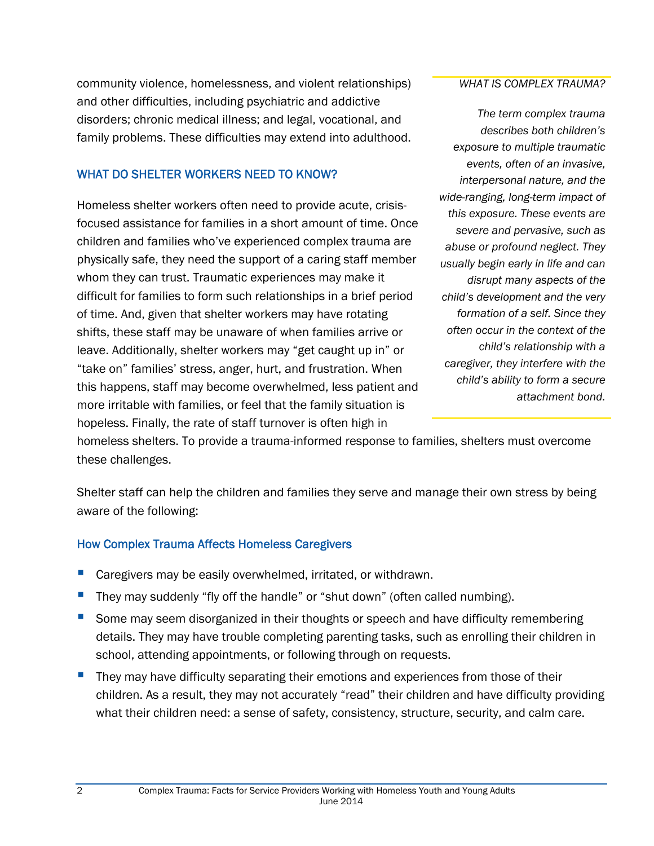community violence, homelessness, and violent relationships) and other difficulties, including psychiatric and addictive disorders; chronic medical illness; and legal, vocational, and family problems. These difficulties may extend into adulthood.

### WHAT DO SHELTER WORKERS NEED TO KNOW?

Homeless shelter workers often need to provide acute, crisisfocused assistance for families in a short amount of time. Once children and families who've experienced complex trauma are physically safe, they need the support of a caring staff member whom they can trust. Traumatic experiences may make it difficult for families to form such relationships in a brief period of time. And, given that shelter workers may have rotating shifts, these staff may be unaware of when families arrive or leave. Additionally, shelter workers may "get caught up in" or "take on" families' stress, anger, hurt, and frustration. When this happens, staff may become overwhelmed, less patient and more irritable with families, or feel that the family situation is hopeless. Finally, the rate of staff turnover is often high in

*WHAT IS COMPLEX TRAUMA?*

*The term complex trauma describes both children's exposure to multiple traumatic events, often of an invasive, interpersonal nature, and the wide-ranging, long-term impact of this exposure. These events are severe and pervasive, such as abuse or profound neglect. They usually begin early in life and can disrupt many aspects of the child's development and the very formation of a self. Since they often occur in the context of the child's relationship with a caregiver, they interfere with the child's ability to form a secure attachment bond.*

homeless shelters. To provide a trauma-informed response to families, shelters must overcome these challenges.

Shelter staff can help the children and families they serve and manage their own stress by being aware of the following:

## How Complex Trauma Affects Homeless Caregivers

- Caregivers may be easily overwhelmed, irritated, or withdrawn.
- They may suddenly "fly off the handle" or "shut down" (often called numbing).
- Some may seem disorganized in their thoughts or speech and have difficulty remembering details. They may have trouble completing parenting tasks, such as enrolling their children in school, attending appointments, or following through on requests.
- They may have difficulty separating their emotions and experiences from those of their children. As a result, they may not accurately "read" their children and have difficulty providing what their children need: a sense of safety, consistency, structure, security, and calm care.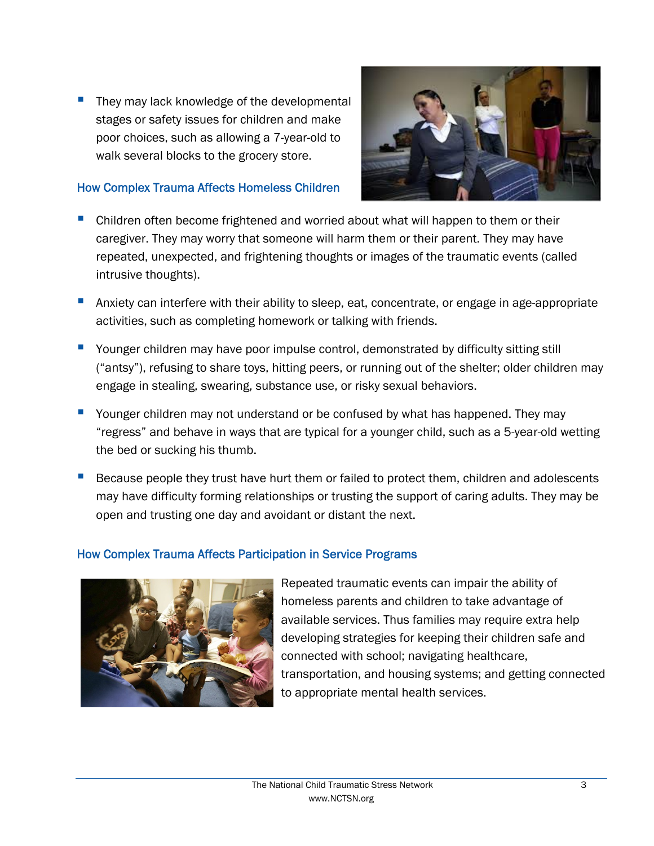They may lack knowledge of the developmental stages or safety issues for children and make poor choices, such as allowing a 7-year-old to walk several blocks to the grocery store.



#### How Complex Trauma Affects Homeless Children

- Children often become frightened and worried about what will happen to them or their caregiver. They may worry that someone will harm them or their parent. They may have repeated, unexpected, and frightening thoughts or images of the traumatic events (called intrusive thoughts).
- Anxiety can interfere with their ability to sleep, eat, concentrate, or engage in age-appropriate activities, such as completing homework or talking with friends.
- Younger children may have poor impulse control, demonstrated by difficulty sitting still ("antsy"), refusing to share toys, hitting peers, or running out of the shelter; older children may engage in stealing, swearing, substance use, or risky sexual behaviors.
- Younger children may not understand or be confused by what has happened. They may "regress" and behave in ways that are typical for a younger child, such as a 5-year-old wetting the bed or sucking his thumb.
- Because people they trust have hurt them or failed to protect them, children and adolescents may have difficulty forming relationships or trusting the support of caring adults. They may be open and trusting one day and avoidant or distant the next.

#### How Complex Trauma Affects Participation in Service Programs



Repeated traumatic events can impair the ability of homeless parents and children to take advantage of available services. Thus families may require extra help developing strategies for keeping their children safe and connected with school; navigating healthcare, transportation, and housing systems; and getting connected to appropriate mental health services.